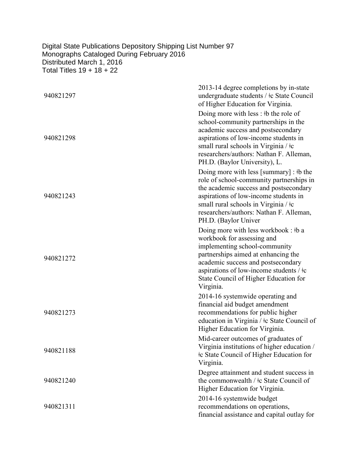## Digital State Publications Depository Shipping List Number 97 Monographs Cataloged During February 2016 Distributed March 1, 2016 Total Titles 19 + 18 + 22

| 940821297 | 2013-14 degree completions by in-state<br>undergraduate students / ‡c State Council<br>of Higher Education for Virginia.                                                                                                                                                                          |
|-----------|---------------------------------------------------------------------------------------------------------------------------------------------------------------------------------------------------------------------------------------------------------------------------------------------------|
| 940821298 | Doing more with less : #b the role of<br>school-community partnerships in the<br>academic success and postsecondary<br>aspirations of low-income students in<br>small rural schools in Virginia / $\pm c$<br>researchers/authors: Nathan F. Alleman,<br>PH.D. (Baylor University), L.             |
| 940821243 | Doing more with less [summary] : $\#b$ the<br>role of school-community partnerships in<br>the academic success and postsecondary<br>aspirations of low-income students in<br>small rural schools in Virginia / ‡c<br>researchers/authors: Nathan F. Alleman,<br>PH.D. (Baylor Univer              |
| 940821272 | Doing more with less workbook: $\mathfrak{b}$ a<br>workbook for assessing and<br>implementing school-community<br>partnerships aimed at enhancing the<br>academic success and postsecondary<br>aspirations of low-income students / $\pm c$<br>State Council of Higher Education for<br>Virginia. |
| 940821273 | 2014-16 systemwide operating and<br>financial aid budget amendment<br>recommendations for public higher<br>education in Virginia / $\pm c$ State Council of<br>Higher Education for Virginia.                                                                                                     |
| 940821188 | Mid-career outcomes of graduates of<br>Virginia institutions of higher education /<br><b>Example 2</b> Fe State Council of Higher Education for<br>Virginia.                                                                                                                                      |
| 940821240 | Degree attainment and student success in<br>the commonwealth / $\pm c$ State Council of<br>Higher Education for Virginia.                                                                                                                                                                         |
| 940821311 | 2014-16 systemwide budget<br>recommendations on operations,<br>financial assistance and capital outlay for                                                                                                                                                                                        |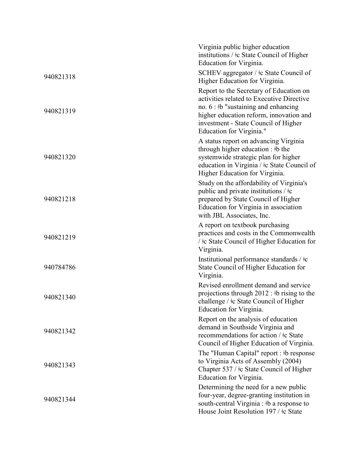|           | Virginia public higher education<br>institutions / ‡c State Council of Higher<br>Education for Virginia.                                                                                                                                     |
|-----------|----------------------------------------------------------------------------------------------------------------------------------------------------------------------------------------------------------------------------------------------|
| 940821318 | SCHEV aggregator / $\pm c$ State Council of<br>Higher Education for Virginia.                                                                                                                                                                |
| 940821319 | Report to the Secretary of Education on<br>activities related to Executive Directive<br>no. $6:$ ‡b "sustaining and enhancing<br>higher education reform, innovation and<br>investment - State Council of Higher<br>Education for Virginia." |
| 940821320 | A status report on advancing Virginia<br>through higher education : #b the<br>systemwide strategic plan for higher<br>education in Virginia / $\pm c$ State Council of<br>Higher Education for Virginia.                                     |
| 940821218 | Study on the affordability of Virginia's<br>public and private institutions $/$ $\pm c$<br>prepared by State Council of Higher<br>Education for Virginia in association<br>with JBL Associates, Inc.                                         |
| 940821219 | A report on textbook purchasing<br>practices and costs in the Commonwealth<br>/ ‡c State Council of Higher Education for<br>Virginia.                                                                                                        |
| 940784786 | Institutional performance standards / $\pm c$<br>State Council of Higher Education for<br>Virginia.                                                                                                                                          |
| 940821340 | Revised enrollment demand and service<br>projections through $2012 :$ ‡b rising to the<br>challenge / ‡c State Council of Higher<br>Education for Virginia.                                                                                  |
| 940821342 | Report on the analysis of education<br>demand in Southside Virginia and<br>recommendations for action / ‡c State<br>Council of Higher Education of Virginia.                                                                                 |
| 940821343 | The "Human Capital" report : #b response<br>to Virginia Acts of Assembly (2004)<br>Chapter 537 / ‡c State Council of Higher<br>Education for Virginia.                                                                                       |
| 940821344 | Determining the need for a new public<br>four-year, degree-granting institution in<br>south-central Virginia : #b a response to<br>House Joint Resolution 197 / ‡c State                                                                     |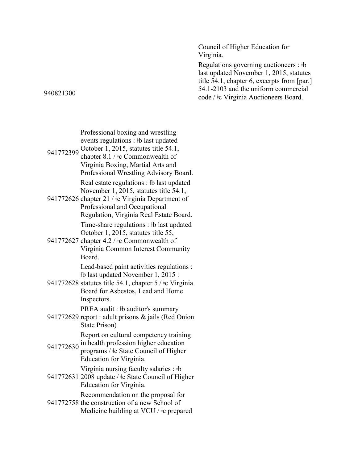Council of Higher Education for Virginia.

Regulations governing auctioneers : ǂb last updated November 1, 2015, statutes title 54.1, chapter 6, excerpts from [par.] 54.1-2103 and the uniform commercial code / ǂc Virginia Auctioneers Board.

941772399 October 1, 2015, statutes title 54.1, Professional boxing and wrestling events regulations : ǂb last updated chapter 8.1 / ǂc Commonwealth of Virginia Boxing, Martial Arts and Professional Wrestling Advisory Board. 941772626 chapter 21 / ǂc Virginia Department of Real estate regulations : ‡b last updated November 1, 2015, statutes title 54.1, Professional and Occupational October 1, 2015, statutes title 55, Board. ǂb last updated November 1, 2015 : Inspectors. PREA audit : ‡b auditor's summary State Prison) 941772630 in health profession higher education<br>
general of Higher Education for Virginia. 941772631 2008 update / ǂc State Council of Higher Virginia nursing faculty salaries : ǂb Education for Virginia. Recommendation on the proposal for

941772758 the construction of a new School of Medicine building at VCU /  $\pm c$  prepared

940821300

Regulation, Virginia Real Estate Board. Time-share regulations : ‡b last updated

941772627 chapter 4.2 / ǂc Commonwealth of Virginia Common Interest Community

Lead-based paint activities regulations :

- 941772628 statutes title 54.1, chapter 5 / ǂc Virginia Board for Asbestos, Lead and Home
- 941772629 report : adult prisons & jails (Red Onion

Report on cultural competency training

programs / ǂc State Council of Higher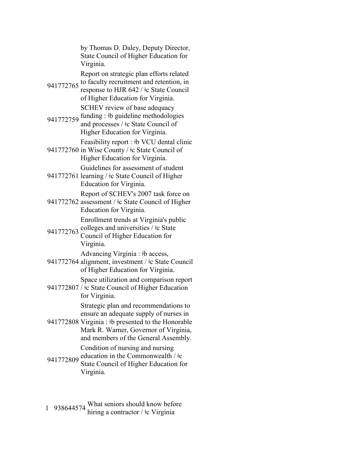by Thomas D. Daley, Deputy Director, State Council of Higher Education for Virginia.

Report on strategic plan efforts related

- 941772765 to faculty recruitment and retention, in response to HJR 642 / ǂc State Council of Higher Education for Virginia. SCHEV review of base adequacy
- 941772759 funding : ‡b guideline methodologies and processes / ǂc State Council of Higher Education for Virginia.

Feasibility report : ǂb VCU dental clinic

- 941772760 in Wise County / ‡c State Council of Higher Education for Virginia. Guidelines for assessment of student
- 941772761 learning / ‡c State Council of Higher Education for Virginia.

Report of SCHEV's 2007 task force on

- 941772762 assessment / ‡c State Council of Higher Education for Virginia. Enrollment trends at Virginia's public
- 941772763 colleges and universities  $\frac{1}{2}$  State
- Council of Higher Education for Virginia.

Advancing Virginia : ‡b access,

941772764 alignment, investment / ǂc State Council of Higher Education for Virginia.

Space utilization and comparison report

941772807 /  $\pm$ c State Council of Higher Education for Virginia.

Strategic plan and recommendations to ensure an adequate supply of nurses in

- 941772808 Virginia : ‡b presented to the Honorable Mark R. Warner, Governor of Virginia, and members of the General Assembly. Condition of nursing and nursing
- 941772809 education in the Commonwealth /  $\pm$ State Council of Higher Education for Virginia.
- 1 938644574 What seniors should know before<br>hiring a contractor /  $\pm$  Virginia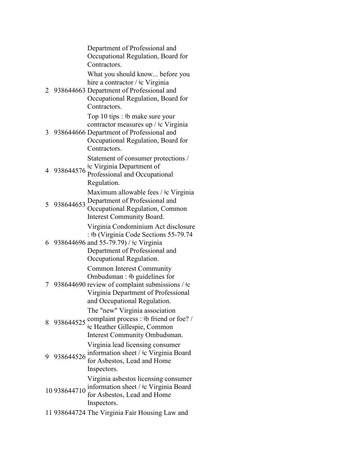Department of Professional and Occupational Regulation, Board for Contractors. 2 938644663 Department of Professional and What you should know... before you hire a contractor /  $\pm c$  Virginia Occupational Regulation, Board for Contractors. 3 938644666 Department of Professional and Top 10 tips : ǂb make sure your contractor measures up / ǂc Virginia Occupational Regulation, Board for Contractors. 4 938644576 Statement of consumer protections / ǂc Virginia Department of Professional and Occupational Regulation. 5 938644653 Department of Professional and Maximum allowable fees /  $\pm c$  Virginia Occupational Regulation, Common Interest Community Board. 6 938644696 and 55-79.79) / ǂc Virginia Virginia Condominium Act disclosure : ǂb (Virginia Code Sections 55-79.74 Department of Professional and Occupational Regulation. 7 938644690 review of complaint submissions / ǂc Common Interest Community Ombudsman : ǂb guidelines for Virginia Department of Professional and Occupational Regulation. 8 938644525 complaint process :  $\frac{1}{2}$ b friend or foe? / The "new" Virginia association ǂc Heather Gillespie, Common Interest Community Ombudsman. 9 938644526 information sheet /  $\pm c$  Virginia Board Virginia lead licensing consumer for Asbestos, Lead and Home Inspectors. 10 938644710 information sheet / ‡c Virginia Board Virginia asbestos licensing consumer for Asbestos, Lead and Home Inspectors. 11 938644724 The Virginia Fair Housing Law and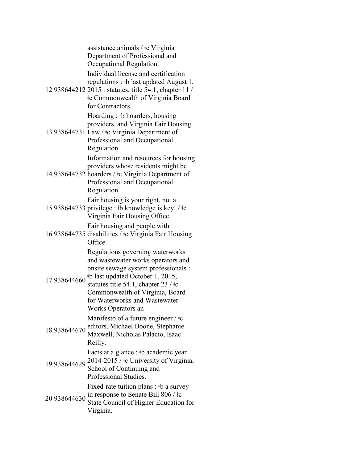assistance animals / ǂc Virginia Department of Professional and Occupational Regulation.

Individual license and certification regulations : ǂb last updated August 1,

12 938644212 2015 : statutes, title 54.1, chapter 11 / ǂc Commonwealth of Virginia Board for Contractors.

Hoarding : ǂb hoarders, housing providers, and Virginia Fair Housing

13 938644731 Law / ǂc Virginia Department of Professional and Occupational Regulation.

> Information and resources for housing providers whose residents might be

14 938644732 hoarders / ǂc Virginia Department of Professional and Occupational Regulation.

Fair housing is your right, not a

15 938644733 privilege : ǂb knowledge is key! / ǂc Virginia Fair Housing Office.

Fair housing and people with

16 938644735 disabilities / ǂc Virginia Fair Housing Office.

> Regulations governing waterworks and wastewater works operators and onsite sewage system professionals :

17 938644660 ǂb last updated October 1, 2015, statutes title 54.1, chapter 23 / ǂc Commonwealth of Virginia, Board for Waterworks and Wastewater Works Operators an

Manifesto of a future engineer  $/ \dagger c$ 

18 938644670 editors, Michael Boone, Stephanie Maxwell, Nicholas Palacio, Isaac Reilly.

Facts at a glance : ǂb academic year

- 19 938644629 <sup>2014-2015</sup> / <sup>‡</sup>c University of Virginia, School of Continuing and Professional Studies. Fixed-rate tuition plans : ‡b a survey
- 20 938644630 in response to Senate Bill 806 / $\pm$ c State Council of Higher Education for Virginia.